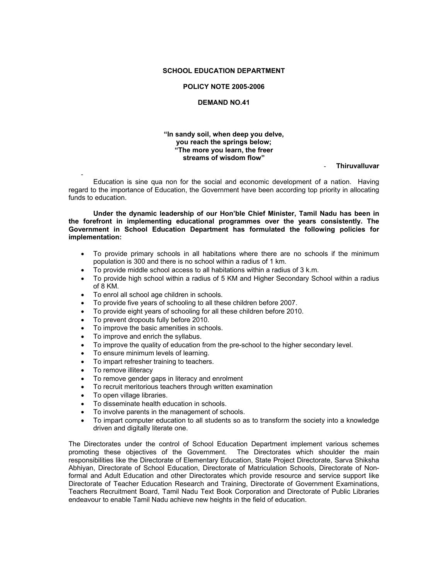## **SCHOOL EDUCATION DEPARTMENT**

#### **POLICY NOTE 2005-2006**

#### **DEMAND NO.41**

## **"In sandy soil, when deep you delve, you reach the springs below; "The more you learn, the freer streams of wisdom flow"**

#### - **Thiruvalluvar**

- Education is sine qua non for the social and economic development of a nation. Having regard to the importance of Education, the Government have been according top priority in allocating funds to education.

 **Under the dynamic leadership of our Hon'ble Chief Minister, Tamil Nadu has been in the forefront in implementing educational programmes over the years consistently. The Government in School Education Department has formulated the following policies for implementation:** 

- To provide primary schools in all habitations where there are no schools if the minimum population is 300 and there is no school within a radius of 1 km.
- To provide middle school access to all habitations within a radius of 3 k.m.
- To provide high school within a radius of 5 KM and Higher Secondary School within a radius of 8 KM.
- To enrol all school age children in schools.
- To provide five years of schooling to all these children before 2007.
- To provide eight years of schooling for all these children before 2010.
- To prevent dropouts fully before 2010.
- To improve the basic amenities in schools.
- To improve and enrich the syllabus.
- To improve the quality of education from the pre-school to the higher secondary level.
- To ensure minimum levels of learning.
- To impart refresher training to teachers.
- To remove illiteracy
- To remove gender gaps in literacy and enrolment
- To recruit meritorious teachers through written examination
- To open village libraries.
- To disseminate health education in schools.
- To involve parents in the management of schools.
- To impart computer education to all students so as to transform the society into a knowledge driven and digitally literate one.

The Directorates under the control of School Education Department implement various schemes promoting these objectives of the Government. The Directorates which shoulder the main responsibilities like the Directorate of Elementary Education, State Project Directorate, Sarva Shiksha Abhiyan, Directorate of School Education, Directorate of Matriculation Schools, Directorate of Nonformal and Adult Education and other Directorates which provide resource and service support like Directorate of Teacher Education Research and Training, Directorate of Government Examinations, Teachers Recruitment Board, Tamil Nadu Text Book Corporation and Directorate of Public Libraries endeavour to enable Tamil Nadu achieve new heights in the field of education.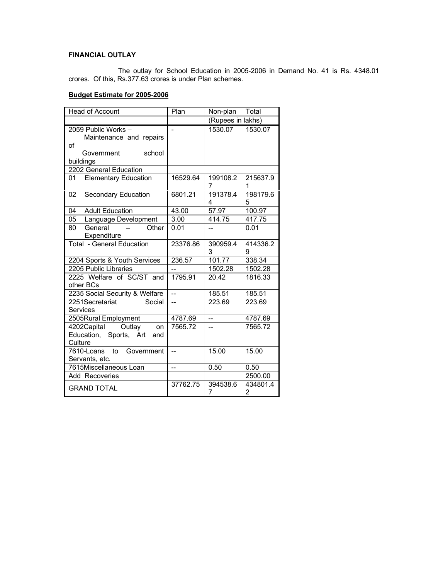# **FINANCIAL OUTLAY**

 The outlay for School Education in 2005-2006 in Demand No. 41 is Rs. 4348.01 crores. Of this, Rs.377.63 crores is under Plan schemes.

# **Budget Estimate for 2005-2006**

| <b>Head of Account</b>        |                                               | Plan           | Non-plan                 | Total         |
|-------------------------------|-----------------------------------------------|----------------|--------------------------|---------------|
|                               |                                               |                | (Rupees in lakhs)        |               |
|                               | 2059 Public Works-                            | $\overline{a}$ | 1530.07                  | 1530.07       |
|                               | Maintenance and repairs                       |                |                          |               |
| οf                            |                                               |                |                          |               |
|                               | Government<br>school                          |                |                          |               |
|                               | buildings                                     |                |                          |               |
|                               | 2202 General Education                        |                |                          |               |
| 01                            | <b>Elementary Education</b>                   | 16529.64       | 199108.2<br>7            | 215637.9<br>1 |
| 02                            | <b>Secondary Education</b>                    | 6801.21        | 191378.4<br>4            | 198179.6<br>5 |
| 04                            | <b>Adult Education</b>                        | 43.00          | 57.97                    | 100.97        |
| 05                            | Language Development                          | 3.00           | 414.75                   | 417.75        |
| 80                            | General<br>Other                              | 0.01           | $\overline{\phantom{0}}$ | 0.01          |
|                               | Expenditure                                   |                |                          |               |
|                               | <b>Total - General Education</b>              | 23376.86       | 390959.4<br>3            | 414336.2<br>9 |
| 2204 Sports & Youth Services  |                                               | 236.57         | 101.77                   | 338.34        |
|                               | 2205 Public Libraries                         |                | 1502.28                  | 1502.28       |
|                               | 2225 Welfare of SC/ST and<br>other BCs        | 1795.91        | 20.42                    | 1816.33       |
|                               | 2235 Social Security & Welfare                | Ξ.             | 185.51                   | 185.51        |
|                               | 2251Secretariat<br>Social<br>Services         | --             | 223.69                   | 223.69        |
|                               | 2505Rural Employment                          | 4787.69        | $\overline{\phantom{a}}$ | 4787.69       |
| 4202Capital<br>Outlay<br>on   |                                               | 7565.72        | $-$                      | 7565.72       |
| Education, Sports, Art<br>and |                                               |                |                          |               |
| Culture                       |                                               |                |                          |               |
|                               | 7610-Loans to<br>Government<br>Servants, etc. | $\overline{a}$ | 15.00                    | 15.00         |
| 7615Miscellaneous Loan        |                                               | L.             | 0.50                     | 0.50          |
| Add Recoveries                |                                               |                |                          | 2500.00       |
|                               | <b>GRAND TOTAL</b>                            | 37762.75       | 394538.6<br>7            | 434801.4<br>2 |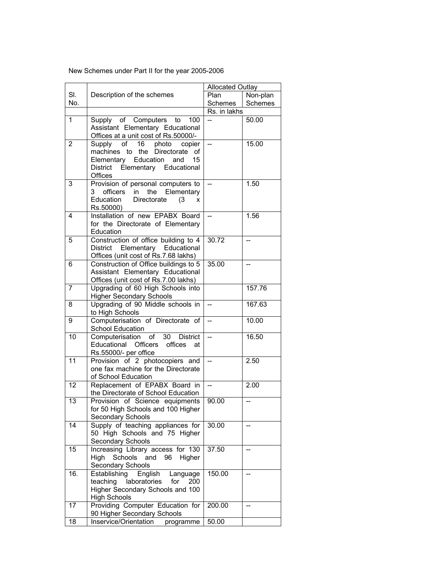New Schemes under Part II for the year 2005-2006

|                 | <b>Allocated Outlay</b>                                                                                                                                                 |                          |                          |
|-----------------|-------------------------------------------------------------------------------------------------------------------------------------------------------------------------|--------------------------|--------------------------|
| SI.             | Description of the schemes                                                                                                                                              | Plan                     | Non-plan                 |
| No.             |                                                                                                                                                                         | Schemes                  | Schemes                  |
|                 |                                                                                                                                                                         | Rs. in lakhs             |                          |
| 1               | Supply of Computers to<br>100<br>Assistant Elementary Educational<br>Offices at a unit cost of Rs.50000/-                                                               |                          | 50.00                    |
| 2               | of<br>16<br>Supply<br>photo<br>copier<br>machines to the Directorate<br>οf<br>Elementary Education<br>15<br>and<br><b>District</b><br>Elementary Educational<br>Offices | $\overline{a}$           | 15.00                    |
| 3               | Provision of personal computers to<br>officers<br>in<br>the Elementary<br>3.<br>Education<br>Directorate<br>(3)<br>x<br>Rs.50000)                                       | $\overline{a}$           | 1.50                     |
| 4               | Installation of new EPABX Board<br>for the Directorate of Elementary<br>Education                                                                                       | $\overline{a}$           | 1.56                     |
| 5               | Construction of office building to 4<br>District Elementary Educational<br>Offices (unit cost of Rs.7.68 lakhs)                                                         | 30.72                    | --                       |
| 6               | Construction of Office buildings to 5<br>Assistant Elementary Educational<br>Offices (unit cost of Rs.7.00 lakhs)                                                       | 35.00                    |                          |
| 7               | Upgrading of 60 High Schools into<br><b>Higher Secondary Schools</b>                                                                                                    |                          | 157.76                   |
| 8               | Upgrading of 90 Middle schools in<br>to High Schools                                                                                                                    | $\overline{a}$           | 167.63                   |
| 9               | Computerisation of Directorate of<br>School Education                                                                                                                   | Ξ.                       | 10.00                    |
| 10              | Computerisation of 30 District<br>Educational<br><b>Officers</b><br>offices<br>at<br>Rs.55000/- per office                                                              | $\overline{a}$           | 16.50                    |
| $\overline{11}$ | Provision of 2 photocopiers and<br>one fax machine for the Directorate<br>of School Education                                                                           | <u></u>                  | 2.50                     |
| 12              | Replacement of EPABX Board in<br>the Directorate of School Education                                                                                                    | $\overline{\phantom{a}}$ | 2.00                     |
| 13              | Provision of Science equipments<br>for 50 High Schools and 100 Higher<br>Secondary Schools                                                                              | 90.00                    |                          |
| 14              | Supply of teaching appliances for<br>50 High Schools and 75 Higher<br>Secondary Schools                                                                                 | 30.00                    | --                       |
| 15              | Increasing Library access for 130<br>Schools and 96<br>High<br>Higher<br><b>Secondary Schools</b>                                                                       | 37.50                    |                          |
| 16.             | Establishing<br>English<br>Language<br>teaching<br>laboratories<br>for<br>200<br>Higher Secondary Schools and 100<br><b>High Schools</b>                                | 150.00                   | --                       |
| 17              | Providing Computer Education for<br>90 Higher Secondary Schools                                                                                                         | 200.00                   | $\overline{\phantom{a}}$ |
| 18              | Inservice/Orientation<br>programme                                                                                                                                      | 50.00                    |                          |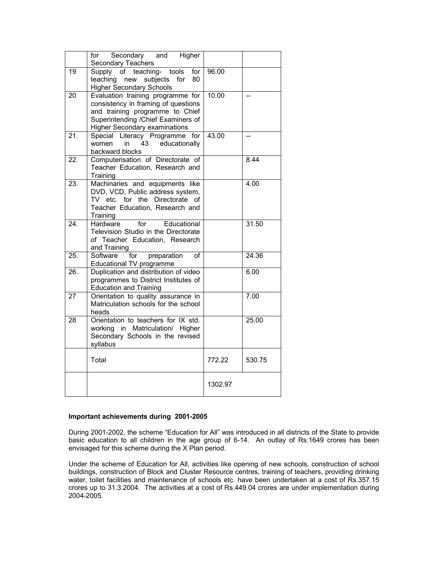|     | for Secondary and Higher<br>Secondary Teachers                                                                                                                                             |         |        |
|-----|--------------------------------------------------------------------------------------------------------------------------------------------------------------------------------------------|---------|--------|
| 19  | Supply of teaching- tools<br>for<br>80<br>new subjects for<br>teaching<br><b>Higher Secondary Schools</b>                                                                                  | 96.00   |        |
| 20  | Evaluation training programme for<br>consistency in framing of questions<br>and training programme to Chief<br>Superintending / Chief Examiners of<br><b>Higher Secondary examinations</b> | 10.00   |        |
| 21. | Special Literacy Programme<br>for<br>educationally<br>women<br>in<br>43<br>backward blocks                                                                                                 | 43.00   |        |
| 22. | Computerisation of Directorate of<br>Teacher Education, Research and<br>Training                                                                                                           |         | 8.44   |
| 23. | Machinaries and equipments like<br>DVD, VCD, Public address system,<br>TV etc. for the Directorate<br>Ωf<br>Teacher Education, Research and<br>Training                                    |         | 4.00   |
| 24. | for<br>Educational<br>Hardware<br>Television Studio in the Directorate<br>of Teacher Education, Research<br>and Training                                                                   |         | 31.50  |
| 25. | for<br>Software<br>preparation<br>Ωf<br>Educational TV programme                                                                                                                           |         | 24.36  |
| 26. | Duplication and distribution of video<br>programmes to District Institutes of<br><b>Education and Training</b>                                                                             |         | 6.00   |
| 27  | Orientation to quality assurance in<br>Matriculation schools for the school<br>heads                                                                                                       |         | 7.00   |
| 28  | Orientation to teachers for IX std.<br>working in Matriculation/ Higher<br>Secondary Schools in the revised<br>syllabus                                                                    |         | 25.00  |
|     | Total                                                                                                                                                                                      | 772.22  | 530.75 |
|     |                                                                                                                                                                                            | 1302.97 |        |

# **Important achievements during 2001-2005**

During 2001-2002, the scheme "Education for All" was introduced in all districts of the State to provide basic education to all children in the age group of 6-14. An outlay of Rs.1649 crores has been envisaged for this scheme during the X Plan period.

Under the scheme of Education for All, activities like opening of new schools, construction of school buildings, construction of Block and Cluster Resource centres, training of teachers, providing drinking water, toilet facilities and maintenance of schools etc. have been undertaken at a cost of Rs.357.15 crores up to 31.3.2004. The activities at a cost of Rs.449.04 crores are under implementation during 2004-2005.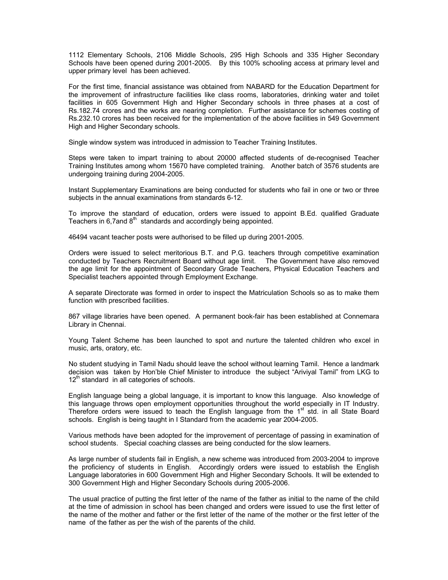1112 Elementary Schools, 2106 Middle Schools, 295 High Schools and 335 Higher Secondary Schools have been opened during 2001-2005. By this 100% schooling access at primary level and upper primary level has been achieved.

For the first time, financial assistance was obtained from NABARD for the Education Department for the improvement of infrastructure facilities like class rooms, laboratories, drinking water and toilet facilities in 605 Government High and Higher Secondary schools in three phases at a cost of Rs.182.74 crores and the works are nearing completion. Further assistance for schemes costing of Rs.232.10 crores has been received for the implementation of the above facilities in 549 Government High and Higher Secondary schools.

Single window system was introduced in admission to Teacher Training Institutes.

Steps were taken to impart training to about 20000 affected students of de-recognised Teacher Training Institutes among whom 15670 have completed training. Another batch of 3576 students are undergoing training during 2004-2005.

Instant Supplementary Examinations are being conducted for students who fail in one or two or three subjects in the annual examinations from standards 6-12.

To improve the standard of education, orders were issued to appoint B.Ed. qualified Graduate Teachers in 6,7 and  $8<sup>th</sup>$  standards and accordingly being appointed.

46494 vacant teacher posts were authorised to be filled up during 2001-2005.

Orders were issued to select meritorious B.T. and P.G. teachers through competitive examination conducted by Teachers Recruitment Board without age limit. The Government have also removed the age limit for the appointment of Secondary Grade Teachers, Physical Education Teachers and Specialist teachers appointed through Employment Exchange.

A separate Directorate was formed in order to inspect the Matriculation Schools so as to make them function with prescribed facilities.

867 village libraries have been opened. A permanent book-fair has been established at Connemara Library in Chennai.

Young Talent Scheme has been launched to spot and nurture the talented children who excel in music, arts, oratory, etc.

No student studying in Tamil Nadu should leave the school without learning Tamil. Hence a landmark decision was taken by Hon'ble Chief Minister to introduce the subject "Ariviyal Tamil" from LKG to  $12<sup>th</sup>$  standard in all categories of schools.

English language being a global language, it is important to know this language. Also knowledge of this language throws open employment opportunities throughout the world especially in IT Industry. Therefore orders were issued to teach the English language from the 1<sup>st</sup> std. in all State Board schools. English is being taught in I Standard from the academic year 2004-2005.

Various methods have been adopted for the improvement of percentage of passing in examination of school students. Special coaching classes are being conducted for the slow learners.

As large number of students fail in English, a new scheme was introduced from 2003-2004 to improve the proficiency of students in English. Accordingly orders were issued to establish the English Language laboratories in 600 Government High and Higher Secondary Schools. It will be extended to 300 Government High and Higher Secondary Schools during 2005-2006.

The usual practice of putting the first letter of the name of the father as initial to the name of the child at the time of admission in school has been changed and orders were issued to use the first letter of the name of the mother and father or the first letter of the name of the mother or the first letter of the name of the father as per the wish of the parents of the child.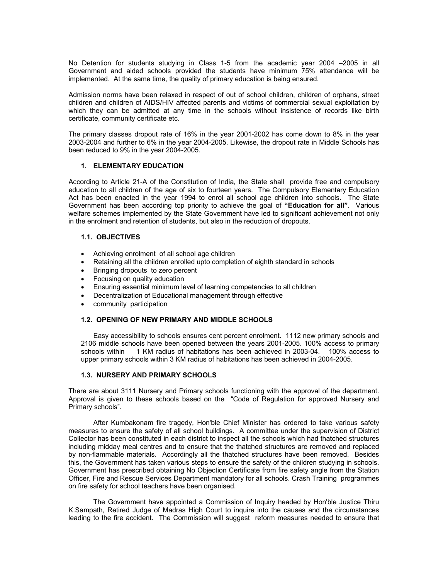No Detention for students studying in Class 1-5 from the academic year 2004 –2005 in all Government and aided schools provided the students have minimum 75% attendance will be implemented. At the same time, the quality of primary education is being ensured.

Admission norms have been relaxed in respect of out of school children, children of orphans, street children and children of AIDS/HIV affected parents and victims of commercial sexual exploitation by which they can be admitted at any time in the schools without insistence of records like birth certificate, community certificate etc.

The primary classes dropout rate of 16% in the year 2001-2002 has come down to 8% in the year 2003-2004 and further to 6% in the year 2004-2005. Likewise, the dropout rate in Middle Schools has been reduced to 9% in the year 2004-2005.

### **1. ELEMENTARY EDUCATION**

According to Article 21-A of the Constitution of India, the State shall provide free and compulsory education to all children of the age of six to fourteen years. The Compulsory Elementary Education Act has been enacted in the year 1994 to enrol all school age children into schools. The State Government has been according top priority to achieve the goal of **"Education for all"**. Various welfare schemes implemented by the State Government have led to significant achievement not only in the enrolment and retention of students, but also in the reduction of dropouts.

## **1.1. OBJECTIVES**

- Achieving enrolment of all school age children
- Retaining all the children enrolled upto completion of eighth standard in schools
- Bringing dropouts to zero percent
- Focusing on quality education
- Ensuring essential minimum level of learning competencies to all children
- Decentralization of Educational management through effective
- community participation

### **1.2. OPENING OF NEW PRIMARY AND MIDDLE SCHOOLS**

 Easy accessibility to schools ensures cent percent enrolment. 1112 new primary schools and 2106 middle schools have been opened between the years 2001-2005. 100% access to primary schools within 1 KM radius of habitations has been achieved in 2003-04. 100% access to upper primary schools within 3 KM radius of habitations has been achieved in 2004-2005.

### **1.3. NURSERY AND PRIMARY SCHOOLS**

There are about 3111 Nursery and Primary schools functioning with the approval of the department. Approval is given to these schools based on the "Code of Regulation for approved Nursery and Primary schools".

 After Kumbakonam fire tragedy, Hon'ble Chief Minister has ordered to take various safety measures to ensure the safety of all school buildings. A committee under the supervision of District Collector has been constituted in each district to inspect all the schools which had thatched structures including midday meal centres and to ensure that the thatched structures are removed and replaced by non-flammable materials. Accordingly all the thatched structures have been removed. Besides this, the Government has taken various steps to ensure the safety of the children studying in schools. Government has prescribed obtaining No Objection Certificate from fire safety angle from the Station Officer, Fire and Rescue Services Department mandatory for all schools. Crash Training programmes on fire safety for school teachers have been organised.

 The Government have appointed a Commission of Inquiry headed by Hon'ble Justice Thiru K.Sampath, Retired Judge of Madras High Court to inquire into the causes and the circumstances leading to the fire accident. The Commission will suggest reform measures needed to ensure that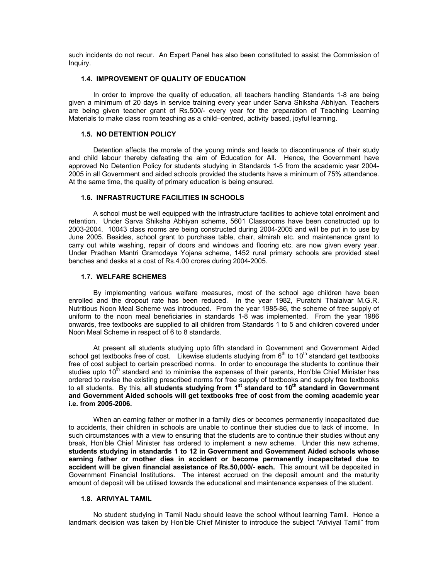such incidents do not recur. An Expert Panel has also been constituted to assist the Commission of Inquiry.

## **1.4. IMPROVEMENT OF QUALITY OF EDUCATION**

 In order to improve the quality of education, all teachers handling Standards 1-8 are being given a minimum of 20 days in service training every year under Sarva Shiksha Abhiyan. Teachers are being given teacher grant of Rs.500/- every year for the preparation of Teaching Learning Materials to make class room teaching as a child–centred, activity based, joyful learning.

#### **1.5. NO DETENTION POLICY**

 Detention affects the morale of the young minds and leads to discontinuance of their study and child labour thereby defeating the aim of Education for All. Hence, the Government have approved No Detention Policy for students studying in Standards 1-5 from the academic year 2004- 2005 in all Government and aided schools provided the students have a minimum of 75% attendance. At the same time, the quality of primary education is being ensured.

## **1.6. INFRASTRUCTURE FACILITIES IN SCHOOLS**

 A school must be well equipped with the infrastructure facilities to achieve total enrolment and retention. Under Sarva Shiksha Abhiyan scheme, 5601 Classrooms have been constructed up to 2003-2004. 10043 class rooms are being constructed during 2004-2005 and will be put in to use by June 2005. Besides, school grant to purchase table, chair, almirah etc. and maintenance grant to carry out white washing, repair of doors and windows and flooring etc. are now given every year. Under Pradhan Mantri Gramodaya Yojana scheme, 1452 rural primary schools are provided steel benches and desks at a cost of Rs.4.00 crores during 2004-2005.

#### **1.7. WELFARE SCHEMES**

 By implementing various welfare measures, most of the school age children have been enrolled and the dropout rate has been reduced. In the year 1982, Puratchi Thalaivar M.G.R. Nutritious Noon Meal Scheme was introduced. From the year 1985-86, the scheme of free supply of uniform to the noon meal beneficiaries in standards 1-8 was implemented. From the year 1986 onwards, free textbooks are supplied to all children from Standards 1 to 5 and children covered under Noon Meal Scheme in respect of 6 to 8 standards.

 At present all students studying upto fifth standard in Government and Government Aided school get textbooks free of cost. Likewise students studying from  $6<sup>th</sup>$  to  $10<sup>th</sup>$  standard get textbooks free of cost subject to certain prescribed norms. In order to encourage the students to continue their studies upto 10<sup>th</sup> standard and to minimise the expenses of their parents, Hon'ble Chief Minister has ordered to revise the existing prescribed norms for free supply of textbooks and supply free textbooks to all students. By this, all students studying from 1<sup>st</sup> standard to 10<sup>th</sup> standard in Government **and Government Aided schools will get textbooks free of cost from the coming academic year i.e. from 2005-2006.** 

 When an earning father or mother in a family dies or becomes permanently incapacitated due to accidents, their children in schools are unable to continue their studies due to lack of income. In such circumstances with a view to ensuring that the students are to continue their studies without any break, Hon'ble Chief Minister has ordered to implement a new scheme. Under this new scheme, **students studying in standards 1 to 12 in Government and Government Aided schools whose earning father or mother dies in accident or become permanently incapacitated due to accident will be given financial assistance of Rs.50,000/- each.** This amount will be deposited in Government Financial Institutions. The interest accrued on the deposit amount and the maturity amount of deposit will be utilised towards the educational and maintenance expenses of the student.

#### **1.8. ARIVIYAL TAMIL**

 No student studying in Tamil Nadu should leave the school without learning Tamil. Hence a landmark decision was taken by Hon'ble Chief Minister to introduce the subject "Ariviyal Tamil" from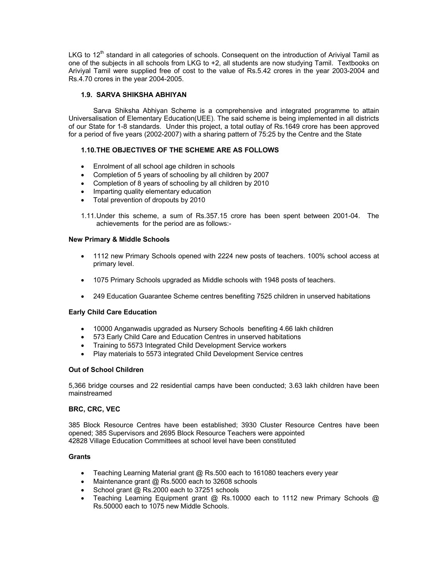LKG to 12<sup>th</sup> standard in all categories of schools. Consequent on the introduction of Ariviyal Tamil as one of the subjects in all schools from LKG to +2, all students are now studying Tamil. Textbooks on Ariviyal Tamil were supplied free of cost to the value of Rs.5.42 crores in the year 2003-2004 and Rs.4.70 crores in the year 2004-2005.

# **1.9. SARVA SHIKSHA ABHIYAN**

 Sarva Shiksha Abhiyan Scheme is a comprehensive and integrated programme to attain Universalisation of Elementary Education(UEE). The said scheme is being implemented in all districts of our State for 1-8 standards. Under this project, a total outlay of Rs.1649 crore has been approved for a period of five years (2002-2007) with a sharing pattern of 75:25 by the Centre and the State

## **1.10. THE OBJECTIVES OF THE SCHEME ARE AS FOLLOWS**

- Enrolment of all school age children in schools
- Completion of 5 years of schooling by all children by 2007
- Completion of 8 years of schooling by all children by 2010
- Imparting quality elementary education
- Total prevention of dropouts by 2010

1.11. Under this scheme, a sum of Rs.357.15 crore has been spent between 2001-04. The achievements for the period are as follows:-

#### **New Primary & Middle Schools**

- 1112 new Primary Schools opened with 2224 new posts of teachers. 100% school access at primary level.
- 1075 Primary Schools upgraded as Middle schools with 1948 posts of teachers.
- 249 Education Guarantee Scheme centres benefiting 7525 children in unserved habitations

### **Early Child Care Education**

- 10000 Anganwadis upgraded as Nursery Schools benefiting 4.66 lakh children
- 573 Early Child Care and Education Centres in unserved habitations
- Training to 5573 Integrated Child Development Service workers
- Play materials to 5573 integrated Child Development Service centres

### **Out of School Children**

5,366 bridge courses and 22 residential camps have been conducted; 3.63 lakh children have been mainstreamed

### **BRC, CRC, VEC**

385 Block Resource Centres have been established; 3930 Cluster Resource Centres have been opened; 385 Supervisors and 2695 Block Resource Teachers were appointed 42828 Village Education Committees at school level have been constituted

### **Grants**

- Teaching Learning Material grant @ Rs.500 each to 161080 teachers every year
- Maintenance grant @ Rs.5000 each to 32608 schools
- School grant @ Rs.2000 each to 37251 schools
- Teaching Learning Equipment grant @ Rs.10000 each to 1112 new Primary Schools @ Rs.50000 each to 1075 new Middle Schools.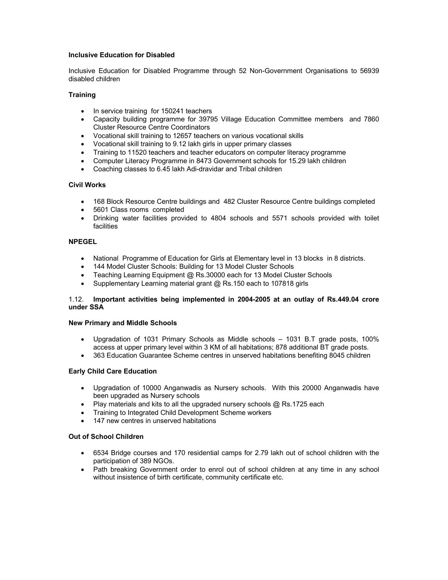## **Inclusive Education for Disabled**

Inclusive Education for Disabled Programme through 52 Non-Government Organisations to 56939 disabled children

## **Training**

- In service training for 150241 teachers
- Capacity building programme for 39795 Village Education Committee members and 7860 Cluster Resource Centre Coordinators
- Vocational skill training to 12657 teachers on various vocational skills
- Vocational skill training to 9.12 lakh girls in upper primary classes
- Training to 11520 teachers and teacher educators on computer literacy programme
- Computer Literacy Programme in 8473 Government schools for 15.29 lakh children
- Coaching classes to 6.45 lakh Adi-dravidar and Tribal children

## **Civil Works**

- 168 Block Resource Centre buildings and 482 Cluster Resource Centre buildings completed
- 5601 Class rooms completed
- Drinking water facilities provided to 4804 schools and 5571 schools provided with toilet facilities

## **NPEGEL**

- National Programme of Education for Girls at Elementary level in 13 blocks in 8 districts.
- 144 Model Cluster Schools: Building for 13 Model Cluster Schools
- Teaching Learning Equipment @ Rs.30000 each for 13 Model Cluster Schools
- Supplementary Learning material grant @ Rs.150 each to 107818 girls

## 1.12. **Important activities being implemented in 2004-2005 at an outlay of Rs.449.04 crore under SSA**

### **New Primary and Middle Schools**

- Upgradation of 1031 Primary Schools as Middle schools 1031 B.T grade posts, 100% access at upper primary level within 3 KM of all habitations; 878 additional BT grade posts.
- 363 Education Guarantee Scheme centres in unserved habitations benefiting 8045 children

### **Early Child Care Education**

- Upgradation of 10000 Anganwadis as Nursery schools. With this 20000 Anganwadis have been upgraded as Nursery schools
- Play materials and kits to all the upgraded nursery schools  $\omega$  Rs.1725 each
- Training to Integrated Child Development Scheme workers
- 147 new centres in unserved habitations

# **Out of School Children**

- 6534 Bridge courses and 170 residential camps for 2.79 lakh out of school children with the participation of 389 NGOs.
- Path breaking Government order to enrol out of school children at any time in any school without insistence of birth certificate, community certificate etc.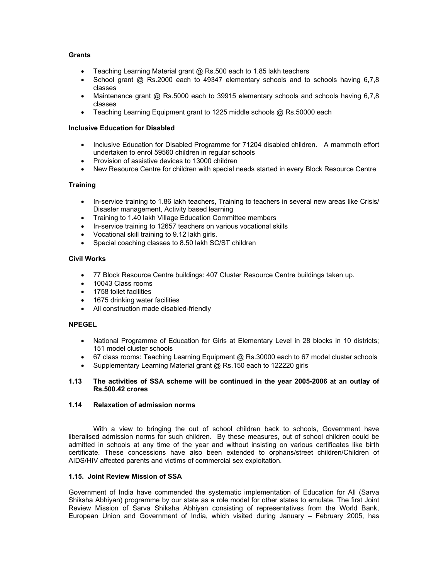# **Grants**

- Teaching Learning Material grant @ Rs.500 each to 1.85 lakh teachers
- School grant @ Rs.2000 each to 49347 elementary schools and to schools having 6,7,8 classes
- Maintenance grant @ Rs.5000 each to 39915 elementary schools and schools having 6,7,8 classes
- Teaching Learning Equipment grant to 1225 middle schools @ Rs.50000 each

## **Inclusive Education for Disabled**

- Inclusive Education for Disabled Programme for 71204 disabled children. A mammoth effort undertaken to enrol 59560 children in regular schools
- Provision of assistive devices to 13000 children
- New Resource Centre for children with special needs started in every Block Resource Centre

## **Training**

- In-service training to 1.86 lakh teachers, Training to teachers in several new areas like Crisis/ Disaster management, Activity based learning
- Training to 1.40 lakh Village Education Committee members
- In-service training to 12657 teachers on various vocational skills
- Vocational skill training to 9.12 lakh girls.
- Special coaching classes to 8.50 lakh SC/ST children

### **Civil Works**

- 77 Block Resource Centre buildings: 407 Cluster Resource Centre buildings taken up.
- 10043 Class rooms
- 1758 toilet facilities
- 1675 drinking water facilities
- All construction made disabled-friendly

# **NPEGEL**

- National Programme of Education for Girls at Elementary Level in 28 blocks in 10 districts; 151 model cluster schools
- 67 class rooms: Teaching Learning Equipment @ Rs.30000 each to 67 model cluster schools
- Supplementary Learning Material grant @ Rs.150 each to 122220 girls

### **1.13 The activities of SSA scheme will be continued in the year 2005-2006 at an outlay of Rs.500.42 crores**

## **1.14 Relaxation of admission norms**

 With a view to bringing the out of school children back to schools, Government have liberalised admission norms for such children. By these measures, out of school children could be admitted in schools at any time of the year and without insisting on various certificates like birth certificate. These concessions have also been extended to orphans/street children/Children of AIDS/HIV affected parents and victims of commercial sex exploitation.

## **1.15. Joint Review Mission of SSA**

Government of India have commended the systematic implementation of Education for All (Sarva Shiksha Abhiyan) programme by our state as a role model for other states to emulate. The first Joint Review Mission of Sarva Shiksha Abhiyan consisting of representatives from the World Bank, European Union and Government of India, which visited during January – February 2005, has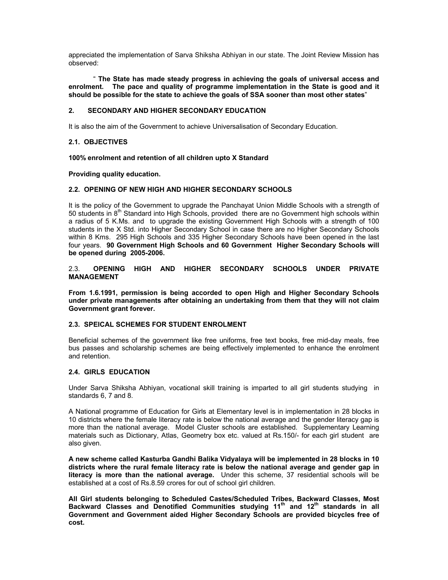appreciated the implementation of Sarva Shiksha Abhiyan in our state. The Joint Review Mission has observed:

 " **The State has made steady progress in achieving the goals of universal access and enrolment. The pace and quality of programme implementation in the State is good and it should be possible for the state to achieve the goals of SSA sooner than most other states**"

## **2. SECONDARY AND HIGHER SECONDARY EDUCATION**

It is also the aim of the Government to achieve Universalisation of Secondary Education.

#### **2.1. OBJECTIVES**

**100% enrolment and retention of all children upto X Standard** 

**Providing quality education.** 

#### **2.2. OPENING OF NEW HIGH AND HIGHER SECONDARY SCHOOLS**

It is the policy of the Government to upgrade the Panchayat Union Middle Schools with a strength of 50 students in  $8<sup>th</sup>$  Standard into High Schools, provided there are no Government high schools within a radius of 5 K.Ms. and to upgrade the existing Government High Schools with a strength of 100 students in the X Std. into Higher Secondary School in case there are no Higher Secondary Schools within 8 Kms. 295 High Schools and 335 Higher Secondary Schools have been opened in the last four years. **90 Government High Schools and 60 Government Higher Secondary Schools will be opened during 2005-2006.** 

2.3. **OPENING HIGH AND HIGHER SECONDARY SCHOOLS UNDER PRIVATE MANAGEMENT** 

**From 1.6.1991, permission is being accorded to open High and Higher Secondary Schools under private managements after obtaining an undertaking from them that they will not claim Government grant forever.** 

## **2.3. SPEICAL SCHEMES FOR STUDENT ENROLMENT**

Beneficial schemes of the government like free uniforms, free text books, free mid-day meals, free bus passes and scholarship schemes are being effectively implemented to enhance the enrolment and retention.

### **2.4. GIRLS EDUCATION**

Under Sarva Shiksha Abhiyan, vocational skill training is imparted to all girl students studying in standards 6, 7 and 8.

A National programme of Education for Girls at Elementary level is in implementation in 28 blocks in 10 districts where the female literacy rate is below the national average and the gender literacy gap is more than the national average. Model Cluster schools are established. Supplementary Learning materials such as Dictionary, Atlas, Geometry box etc. valued at Rs.150/- for each girl student are also given.

**A new scheme called Kasturba Gandhi Balika Vidyalaya will be implemented in 28 blocks in 10 districts where the rural female literacy rate is below the national average and gender gap in literacy is more than the national average.** Under this scheme, 37 residential schools will be established at a cost of Rs.8.59 crores for out of school girl children.

**All Girl students belonging to Scheduled Castes/Scheduled Tribes, Backward Classes, Most**  Backward Classes and Denotified Communities studying 11<sup>th</sup> and 12<sup>th</sup> standards in all **Government and Government aided Higher Secondary Schools are provided bicycles free of cost.**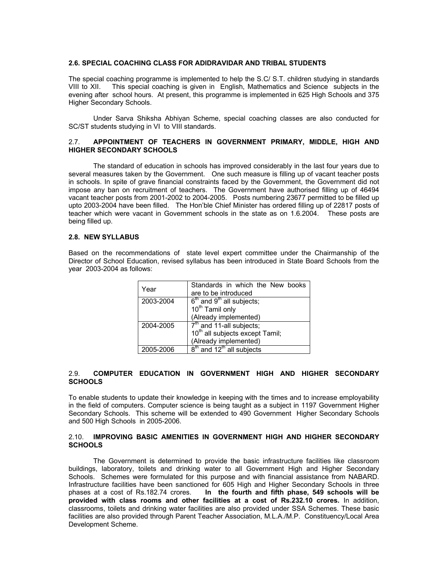#### **2.6. SPECIAL COACHING CLASS FOR ADIDRAVIDAR AND TRIBAL STUDENTS**

The special coaching programme is implemented to help the S.C/ S.T. children studying in standards VIII to XII. This special coaching is given in English, Mathematics and Science subjects in the evening after school hours. At present, this programme is implemented in 625 High Schools and 375 Higher Secondary Schools.

 Under Sarva Shiksha Abhiyan Scheme, special coaching classes are also conducted for SC/ST students studving in VI to VIII standards.

## 2.7. **APPOINTMENT OF TEACHERS IN GOVERNMENT PRIMARY, MIDDLE, HIGH AND HIGHER SECONDARY SCHOOLS**

The standard of education in schools has improved considerably in the last four years due to several measures taken by the Government. One such measure is filling up of vacant teacher posts in schools. In spite of grave financial constraints faced by the Government, the Government did not impose any ban on recruitment of teachers. The Government have authorised filling up of 46494 vacant teacher posts from 2001-2002 to 2004-2005. Posts numbering 23677 permitted to be filled up upto 2003-2004 have been filled. The Hon'ble Chief Minister has ordered filling up of 22817 posts of teacher which were vacant in Government schools in the state as on 1.6.2004. These posts are being filled up.

#### **2.8. NEW SYLLABUS**

Based on the recommendations of state level expert committee under the Chairmanship of the Director of School Education, revised syllabus has been introduced in State Board Schools from the year 2003-2004 as follows:

| Year      | Standards in which the New books            |  |  |  |
|-----------|---------------------------------------------|--|--|--|
|           | are to be introduced                        |  |  |  |
| 2003-2004 | $6th$ and $9th$ all subjects;               |  |  |  |
|           | 10 <sup>th</sup> Tamil only                 |  |  |  |
|           | (Already implemented)                       |  |  |  |
| 2004-2005 | $7th$ and 11-all subjects;                  |  |  |  |
|           | 10 <sup>th</sup> all subjects except Tamil; |  |  |  |
|           | (Already implemented)                       |  |  |  |
| 2005-2006 | $8th$ and 12 <sup>th</sup> all subjects     |  |  |  |

## 2.9. **COMPUTER EDUCATION IN GOVERNMENT HIGH AND HIGHER SECONDARY SCHOOLS**

To enable students to update their knowledge in keeping with the times and to increase employability in the field of computers. Computer science is being taught as a subject in 1197 Government Higher Secondary Schools. This scheme will be extended to 490 Government Higher Secondary Schools and 500 High Schools in 2005-2006.

#### 2.10. **IMPROVING BASIC AMENITIES IN GOVERNMENT HIGH AND HIGHER SECONDARY SCHOOLS**

 The Government is determined to provide the basic infrastructure facilities like classroom buildings, laboratory, toilets and drinking water to all Government High and Higher Secondary Schools. Schemes were formulated for this purpose and with financial assistance from NABARD. Infrastructure facilities have been sanctioned for 605 High and Higher Secondary Schools in three phases at a cost of Rs.182.74 crores. **In the fourth and fifth phase, 549 schools will be provided with class rooms and other facilities at a cost of Rs.232.10 crores.** In addition, classrooms, toilets and drinking water facilities are also provided under SSA Schemes. These basic facilities are also provided through Parent Teacher Association, M.L.A./M.P. Constituency/Local Area Development Scheme.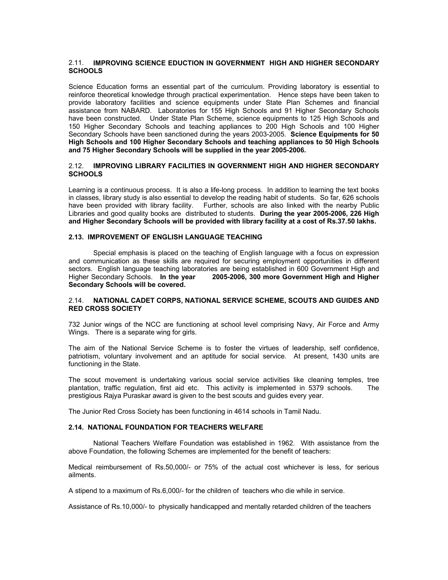## 2.11. **IMPROVING SCIENCE EDUCTION IN GOVERNMENT HIGH AND HIGHER SECONDARY SCHOOLS**

Science Education forms an essential part of the curriculum. Providing laboratory is essential to reinforce theoretical knowledge through practical experimentation. Hence steps have been taken to provide laboratory facilities and science equipments under State Plan Schemes and financial assistance from NABARD. Laboratories for 155 High Schools and 91 Higher Secondary Schools have been constructed. Under State Plan Scheme, science equipments to 125 High Schools and 150 Higher Secondary Schools and teaching appliances to 200 High Schools and 100 Higher Secondary Schools have been sanctioned during the years 2003-2005. **Science Equipments for 50 High Schools and 100 Higher Secondary Schools and teaching appliances to 50 High Schools and 75 Higher Secondary Schools will be supplied in the year 2005-2006.** 

### 2.12. **IMPROVING LIBRARY FACILITIES IN GOVERNMENT HIGH AND HIGHER SECONDARY SCHOOLS**

Learning is a continuous process. It is also a life-long process. In addition to learning the text books in classes, library study is also essential to develop the reading habit of students. So far, 626 schools have been provided with library facility. Further, schools are also linked with the nearby Public Libraries and good quality books are distributed to students. **During the year 2005-2006, 226 High and Higher Secondary Schools will be provided with library facility at a cost of Rs.37.50 lakhs.** 

### **2.13. IMPROVEMENT OF ENGLISH LANGUAGE TEACHING**

 Special emphasis is placed on the teaching of English language with a focus on expression and communication as these skills are required for securing employment opportunities in different sectors. English language teaching laboratories are being established in 600 Government High and Higher Secondary Schools. **In the year 2005-2006, 300 more Government High and Higher Secondary Schools will be covered.** 

### 2.14. **NATIONAL CADET CORPS, NATIONAL SERVICE SCHEME, SCOUTS AND GUIDES AND RED CROSS SOCIETY**

732 Junior wings of the NCC are functioning at school level comprising Navy, Air Force and Army Wings. There is a separate wing for girls.

The aim of the National Service Scheme is to foster the virtues of leadership, self confidence, patriotism, voluntary involvement and an aptitude for social service. At present, 1430 units are functioning in the State.

The scout movement is undertaking various social service activities like cleaning temples, tree plantation, traffic regulation, first aid etc. This activity is implemented in 5379 schools. The prestigious Rajya Puraskar award is given to the best scouts and guides every year.

The Junior Red Cross Society has been functioning in 4614 schools in Tamil Nadu.

### **2.14. NATIONAL FOUNDATION FOR TEACHERS WELFARE**

 National Teachers Welfare Foundation was established in 1962. With assistance from the above Foundation, the following Schemes are implemented for the benefit of teachers:

Medical reimbursement of Rs.50,000/- or 75% of the actual cost whichever is less, for serious ailments.

A stipend to a maximum of Rs.6,000/- for the children of teachers who die while in service.

Assistance of Rs.10,000/- to physically handicapped and mentally retarded children of the teachers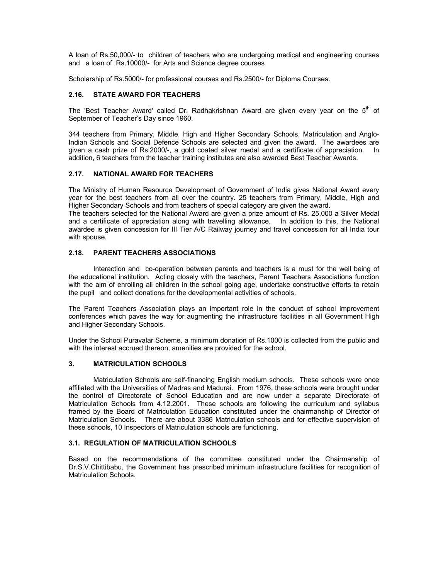A loan of Rs.50,000/- to children of teachers who are undergoing medical and engineering courses and a loan of Rs.10000/- for Arts and Science degree courses

Scholarship of Rs.5000/- for professional courses and Rs.2500/- for Diploma Courses.

## **2.16. STATE AWARD FOR TEACHERS**

The 'Best Teacher Award' called Dr. Radhakrishnan Award are given every year on the  $5<sup>th</sup>$  of September of Teacher's Day since 1960.

344 teachers from Primary, Middle, High and Higher Secondary Schools, Matriculation and Anglo-Indian Schools and Social Defence Schools are selected and given the award. The awardees are given a cash prize of Rs.2000/-, a gold coated silver medal and a certificate of appreciation. In addition, 6 teachers from the teacher training institutes are also awarded Best Teacher Awards.

## **2.17. NATIONAL AWARD FOR TEACHERS**

The Ministry of Human Resource Development of Government of India gives National Award every year for the best teachers from all over the country. 25 teachers from Primary, Middle, High and Higher Secondary Schools and from teachers of special category are given the award.

The teachers selected for the National Award are given a prize amount of Rs. 25,000 a Silver Medal and a certificate of appreciation along with travelling allowance. In addition to this, the National awardee is given concession for III Tier A/C Railway journey and travel concession for all India tour with spouse.

## **2.18. PARENT TEACHERS ASSOCIATIONS**

Interaction and co-operation between parents and teachers is a must for the well being of the educational institution. Acting closely with the teachers, Parent Teachers Associations function with the aim of enrolling all children in the school going age, undertake constructive efforts to retain the pupil and collect donations for the developmental activities of schools.

The Parent Teachers Association plays an important role in the conduct of school improvement conferences which paves the way for augmenting the infrastructure facilities in all Government High and Higher Secondary Schools.

Under the School Puravalar Scheme, a minimum donation of Rs.1000 is collected from the public and with the interest accrued thereon, amenities are provided for the school.

#### **3. MATRICULATION SCHOOLS**

 Matriculation Schools are self-financing English medium schools. These schools were once affiliated with the Universities of Madras and Madurai. From 1976, these schools were brought under the control of Directorate of School Education and are now under a separate Directorate of Matriculation Schools from 4.12.2001. These schools are following the curriculum and syllabus framed by the Board of Matriculation Education constituted under the chairmanship of Director of Matriculation Schools. There are about 3386 Matriculation schools and for effective supervision of these schools, 10 Inspectors of Matriculation schools are functioning.

## **3.1. REGULATION OF MATRICULATION SCHOOLS**

Based on the recommendations of the committee constituted under the Chairmanship of Dr.S.V.Chittibabu, the Government has prescribed minimum infrastructure facilities for recognition of Matriculation Schools.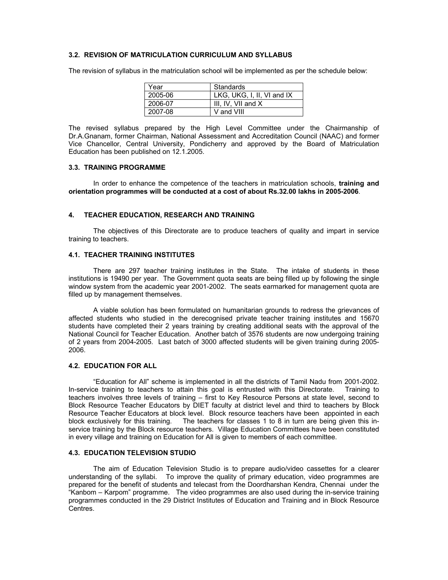#### **3.2. REVISION OF MATRICULATION CURRICULUM AND SYLLABUS**

| Year    | Standards                  |
|---------|----------------------------|
| 2005-06 | LKG, UKG, I, II, VI and IX |
| 2006-07 | III. IV. VII and $X$       |
| 2007-08 | V and VIII                 |

The revision of syllabus in the matriculation school will be implemented as per the schedule below:

The revised syllabus prepared by the High Level Committee under the Chairmanship of Dr.A.Gnanam, former Chairman, National Assessment and Accreditation Council (NAAC) and former Vice Chancellor, Central University, Pondicherry and approved by the Board of Matriculation Education has been published on 12.1.2005.

#### **3.3. TRAINING PROGRAMME**

 In order to enhance the competence of the teachers in matriculation schools, **training and orientation programmes will be conducted at a cost of about Rs.32.00 lakhs in 2005-2006**.

#### **4. TEACHER EDUCATION, RESEARCH AND TRAINING**

 The objectives of this Directorate are to produce teachers of quality and impart in service training to teachers.

#### **4.1. TEACHER TRAINING INSTITUTES**

 There are 297 teacher training institutes in the State. The intake of students in these institutions is 19490 per year. The Government quota seats are being filled up by following the single window system from the academic year 2001-2002. The seats earmarked for management quota are filled up by management themselves.

 A viable solution has been formulated on humanitarian grounds to redress the grievances of affected students who studied in the derecognised private teacher training institutes and 15670 students have completed their 2 years training by creating additional seats with the approval of the National Council for Teacher Education. Another batch of 3576 students are now undergoing training of 2 years from 2004-2005. Last batch of 3000 affected students will be given training during 2005- 2006.

#### **4.2. EDUCATION FOR ALL**

 "Education for All" scheme is implemented in all the districts of Tamil Nadu from 2001-2002. In-service training to teachers to attain this goal is entrusted with this Directorate. Training to teachers involves three levels of training – first to Key Resource Persons at state level, second to Block Resource Teacher Educators by DIET faculty at district level and third to teachers by Block Resource Teacher Educators at block level. Block resource teachers have been appointed in each block exclusively for this training. The teachers for classes 1 to 8 in turn are being given this inservice training by the Block resource teachers. Village Education Committees have been constituted in every village and training on Education for All is given to members of each committee.

#### **4.3. EDUCATION TELEVISION STUDIO**

 The aim of Education Television Studio is to prepare audio/video cassettes for a clearer understanding of the syllabi. To improve the quality of primary education, video programmes are prepared for the benefit of students and telecast from the Doordharshan Kendra, Chennai under the "Kanbom – Karpom" programme. The video programmes are also used during the in-service training programmes conducted in the 29 District Institutes of Education and Training and in Block Resource Centres.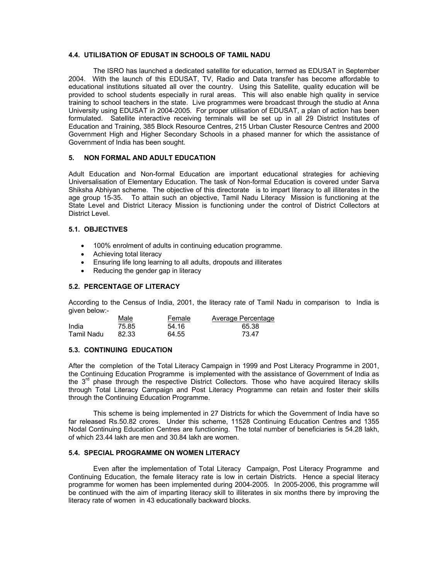#### **4.4. UTILISATION OF EDUSAT IN SCHOOLS OF TAMIL NADU**

 The ISRO has launched a dedicated satellite for education, termed as EDUSAT in September 2004. With the launch of this EDUSAT, TV, Radio and Data transfer has become affordable to educational institutions situated all over the country. Using this Satellite, quality education will be provided to school students especially in rural areas. This will also enable high quality in service training to school teachers in the state. Live programmes were broadcast through the studio at Anna University using EDUSAT in 2004-2005. For proper utilisation of EDUSAT, a plan of action has been formulated. Satellite interactive receiving terminals will be set up in all 29 District Institutes of Education and Training, 385 Block Resource Centres, 215 Urban Cluster Resource Centres and 2000 Government High and Higher Secondary Schools in a phased manner for which the assistance of Government of India has been sought.

### **5. NON FORMAL AND ADULT EDUCATION**

Adult Education and Non-formal Education are important educational strategies for achieving Universalisation of Elementary Education. The task of Non-formal Education is covered under Sarva Shiksha Abhiyan scheme. The objective of this directorate is to impart literacy to all illiterates in the age group 15-35. To attain such an objective, Tamil Nadu Literacy Mission is functioning at the State Level and District Literacy Mission is functioning under the control of District Collectors at District Level.

# **5.1. OBJECTIVES**

- 100% enrolment of adults in continuing education programme.
- Achieving total literacy
- Ensuring life long learning to all adults, dropouts and illiterates
- Reducing the gender gap in literacy

#### **5.2. PERCENTAGE OF LITERACY**

According to the Census of India, 2001, the literacy rate of Tamil Nadu in comparison to India is given below:-

|            | Male  | Female | Average Percentage |
|------------|-------|--------|--------------------|
| India      | 75.85 | 54.16  | 65.38              |
| Tamil Nadu | 82.33 | 64.55  | 73 47              |

#### **5.3. CONTINUING EDUCATION**

After the completion of the Total Literacy Campaign in 1999 and Post Literacy Programme in 2001, the Continuing Education Programme is implemented with the assistance of Government of India as the  $3<sup>rd</sup>$  phase through the respective District Collectors. Those who have acquired literacy skills through Total Literacy Campaign and Post Literacy Programme can retain and foster their skills through the Continuing Education Programme.

 This scheme is being implemented in 27 Districts for which the Government of India have so far released Rs.50.82 crores. Under this scheme, 11528 Continuing Education Centres and 1355 Nodal Continuing Education Centres are functioning. The total number of beneficiaries is 54.28 lakh, of which 23.44 lakh are men and 30.84 lakh are women.

#### **5.4. SPECIAL PROGRAMME ON WOMEN LITERACY**

 Even after the implementation of Total Literacy Campaign, Post Literacy Programme and Continuing Education, the female literacy rate is low in certain Districts. Hence a special literacy programme for women has been implemented during 2004-2005. In 2005-2006, this programme will be continued with the aim of imparting literacy skill to illiterates in six months there by improving the literacy rate of women in 43 educationally backward blocks.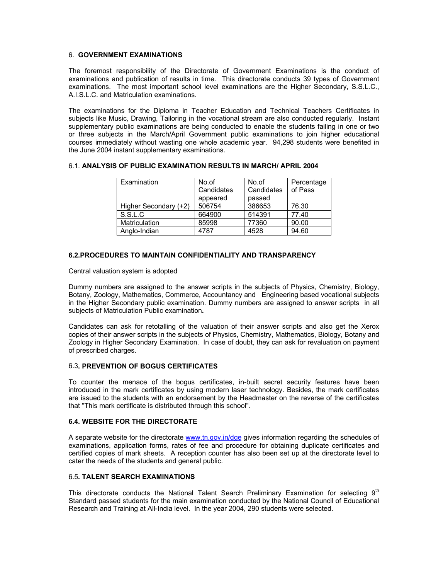## 6. **GOVERNMENT EXAMINATIONS**

The foremost responsibility of the Directorate of Government Examinations is the conduct of examinations and publication of results in time. This directorate conducts 39 types of Government examinations. The most important school level examinations are the Higher Secondary, S.S.L.C., A.I.S.L.C. and Matriculation examinations.

The examinations for the Diploma in Teacher Education and Technical Teachers Certificates in subjects like Music, Drawing, Tailoring in the vocational stream are also conducted regularly. Instant supplementary public examinations are being conducted to enable the students failing in one or two or three subjects in the March/April Government public examinations to join higher educational courses immediately without wasting one whole academic year. 94,298 students were benefited in the June 2004 instant supplementary examinations.

## 6.1. **ANALYSIS OF PUBLIC EXAMINATION RESULTS IN MARCH/ APRIL 2004**

| Examination           | No.of      | No.of      | Percentage |
|-----------------------|------------|------------|------------|
|                       | Candidates | Candidates | of Pass    |
|                       | appeared   | passed     |            |
| Higher Secondary (+2) | 506754     | 386653     | 76.30      |
| S.S.L.C               | 664900     | 514391     | 77.40      |
| <b>Matriculation</b>  | 85998      | 77360      | 90.00      |
| Anglo-Indian          | 4787       | 4528       | 94.60      |

### **6.2.PROCEDURES TO MAINTAIN CONFIDENTIALITY AND TRANSPARENCY**

Central valuation system is adopted

Dummy numbers are assigned to the answer scripts in the subjects of Physics, Chemistry, Biology, Botany, Zoology, Mathematics, Commerce, Accountancy and Engineering based vocational subjects in the Higher Secondary public examination. Dummy numbers are assigned to answer scripts in all subjects of Matriculation Public examination**.** 

Candidates can ask for retotalling of the valuation of their answer scripts and also get the Xerox copies of their answer scripts in the subjects of Physics, Chemistry, Mathematics, Biology, Botany and Zoology in Higher Secondary Examination. In case of doubt, they can ask for revaluation on payment of prescribed charges.

## 6.3**. PREVENTION OF BOGUS CERTIFICATES**

To counter the menace of the bogus certificates, in-built secret security features have been introduced in the mark certificates by using modern laser technology. Besides, the mark certificates are issued to the students with an endorsement by the Headmaster on the reverse of the certificates that "This mark certificate is distributed through this school".

### **6.4. WEBSITE FOR THE DIRECTORATE**

A separate website for the directorate www.tn.gov.in/dge gives information regarding the schedules of examinations, application forms, rates of fee and procedure for obtaining duplicate certificates and certified copies of mark sheets. A reception counter has also been set up at the directorate level to cater the needs of the students and general public.

## 6.5**. TALENT SEARCH EXAMINATIONS**

This directorate conducts the National Talent Search Preliminary Examination for selecting  $9<sup>th</sup>$ Standard passed students for the main examination conducted by the National Council of Educational Research and Training at All-India level. In the year 2004, 290 students were selected.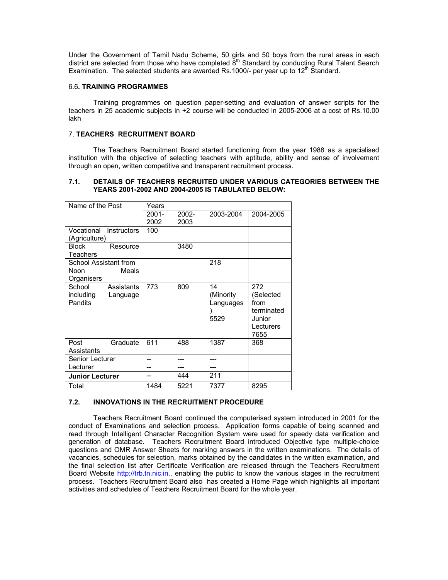Under the Government of Tamil Nadu Scheme, 50 girls and 50 boys from the rural areas in each district are selected from those who have completed  $\bar{8}^{th}$  Standard by conducting Rural Talent Search Examination. The selected students are awarded Rs.1000/- per year up to  $12<sup>th</sup>$  Standard.

#### 6.6**. TRAINING PROGRAMMES**

 Training programmes on question paper-setting and evaluation of answer scripts for the teachers in 25 academic subjects in +2 course will be conducted in 2005-2006 at a cost of Rs.10.00 lakh

## 7. **TEACHERS RECRUITMENT BOARD**

 The Teachers Recruitment Board started functioning from the year 1988 as a specialised institution with the objective of selecting teachers with aptitude, ability and sense of involvement through an open, written competitive and transparent recruitment process.

## **7.1. DETAILS OF TEACHERS RECRUITED UNDER VARIOUS CATEGORIES BETWEEN THE YEARS 2001-2002 AND 2004-2005 IS TABULATED BELOW:**

| Name of the Post          | Years    |          |           |            |
|---------------------------|----------|----------|-----------|------------|
|                           | $2001 -$ | $2002 -$ | 2003-2004 | 2004-2005  |
|                           | 2002     | 2003     |           |            |
| Vocational<br>Instructors | 100      |          |           |            |
| (Agriculture)             |          |          |           |            |
| <b>Block</b><br>Resource  |          | 3480     |           |            |
| Teachers                  |          |          |           |            |
| School Assistant from     |          |          | 218       |            |
| Noon<br>Meals             |          |          |           |            |
| Organisers                |          |          |           |            |
| School<br>Assistants      | 773      | 809      | 14        | 272        |
| including<br>Language     |          |          | (Minority | (Selected  |
| Pandits                   |          |          | Languages | from       |
|                           |          |          |           | terminated |
|                           |          |          | 5529      | Junior     |
|                           |          |          |           | Lecturers  |
|                           |          |          |           | 7655       |
| Graduate<br>Post          | 611      | 488      | 1387      | 368        |
| Assistants                |          |          |           |            |
| Senior Lecturer           | --       | ---      | ---       |            |
| Lecturer                  |          |          |           |            |
| <b>Junior Lecturer</b>    |          | 444      | 211       |            |
| Total                     | 1484     | 5221     | 7377      | 8295       |

# **7.2. INNOVATIONS IN THE RECRUITMENT PROCEDURE**

 Teachers Recruitment Board continued the computerised system introduced in 2001 for the conduct of Examinations and selection process. Application forms capable of being scanned and read through Intelligent Character Recognition System were used for speedy data verification and generation of database. Teachers Recruitment Board introduced Objective type multiple-choice questions and OMR Answer Sheets for marking answers in the written examinations. The details of vacancies, schedules for selection, marks obtained by the candidates in the written examination, and the final selection list after Certificate Verification are released through the Teachers Recruitment Board Website http://trb.tn.nic.in., enabling the public to know the various stages in the recruitment process. Teachers Recruitment Board also has created a Home Page which highlights all important activities and schedules of Teachers Recruitment Board for the whole year.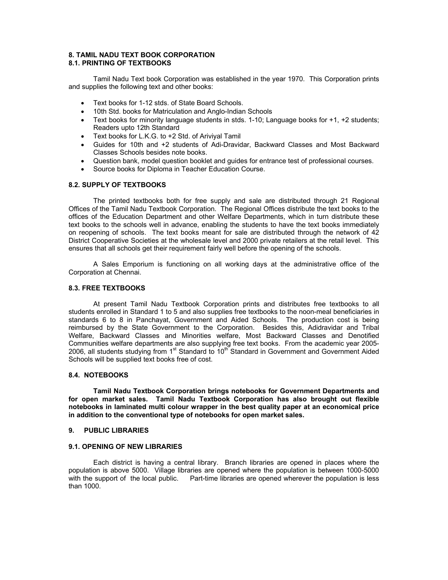### **8. TAMIL NADU TEXT BOOK CORPORATION 8.1. PRINTING OF TEXTBOOKS**

 Tamil Nadu Text book Corporation was established in the year 1970. This Corporation prints and supplies the following text and other books:

- Text books for 1-12 stds. of State Board Schools.
- 10th Std. books for Matriculation and Anglo-Indian Schools
- Text books for minority language students in stds. 1-10; Language books for +1, +2 students; Readers upto 12th Standard
- Text books for L.K.G. to +2 Std. of Ariviyal Tamil
- Guides for 10th and +2 students of Adi-Dravidar, Backward Classes and Most Backward Classes Schools besides note books.
- Question bank, model question booklet and guides for entrance test of professional courses.
- Source books for Diploma in Teacher Education Course.

### **8.2. SUPPLY OF TEXTBOOKS**

 The printed textbooks both for free supply and sale are distributed through 21 Regional Offices of the Tamil Nadu Textbook Corporation. The Regional Offices distribute the text books to the offices of the Education Department and other Welfare Departments, which in turn distribute these text books to the schools well in advance, enabling the students to have the text books immediately on reopening of schools. The text books meant for sale are distributed through the network of 42 District Cooperative Societies at the wholesale level and 2000 private retailers at the retail level. This ensures that all schools get their requirement fairly well before the opening of the schools.

A Sales Emporium is functioning on all working days at the administrative office of the Corporation at Chennai.

## **8.3. FREE TEXTBOOKS**

 At present Tamil Nadu Textbook Corporation prints and distributes free textbooks to all students enrolled in Standard 1 to 5 and also supplies free textbooks to the noon-meal beneficiaries in standards 6 to 8 in Panchayat, Government and Aided Schools. The production cost is being reimbursed by the State Government to the Corporation. Besides this, Adidravidar and Tribal Welfare, Backward Classes and Minorities welfare, Most Backward Classes and Denotified Communities welfare departments are also supplying free text books. From the academic year 2005- 2006, all students studying from 1<sup>st</sup> Standard to 10<sup>th</sup> Standard in Government and Government Aided Schools will be supplied text books free of cost.

#### **8.4. NOTEBOOKS**

 **Tamil Nadu Textbook Corporation brings notebooks for Government Departments and for open market sales. Tamil Nadu Textbook Corporation has also brought out flexible notebooks in laminated multi colour wrapper in the best quality paper at an economical price in addition to the conventional type of notebooks for open market sales.** 

#### **9. PUBLIC LIBRARIES**

### **9.1. OPENING OF NEW LIBRARIES**

 Each district is having a central library. Branch libraries are opened in places where the population is above 5000. Village libraries are opened where the population is between 1000-5000 with the support of the local public. Part-time libraries are opened wherever the population is less than 1000.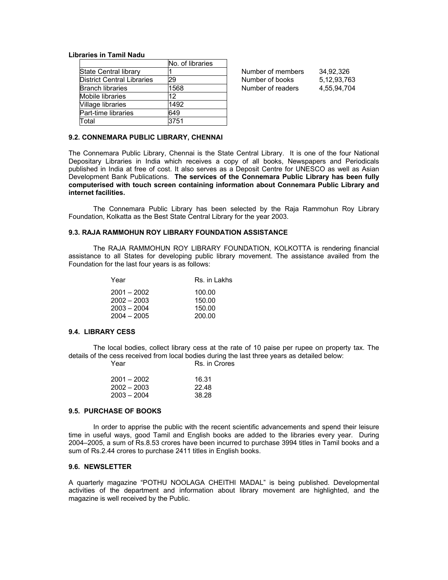#### **Libraries in Tamil Nadu**

|                                   | No. of libraries |
|-----------------------------------|------------------|
| State Central library             |                  |
| <b>District Central Libraries</b> | 29               |
| <b>Branch libraries</b>           | 1568             |
| Mobile libraries                  | 12               |
| Village libraries                 | 1492             |
| Part-time libraries               | 649              |
| Total                             | 3751             |

Number of members 34,92,326 Number of books 5,12,93,763 Number of readers 4,55,94,704

#### **9.2. CONNEMARA PUBLIC LIBRARY, CHENNAI**

The Connemara Public Library, Chennai is the State Central Library. It is one of the four National Depositary Libraries in India which receives a copy of all books, Newspapers and Periodicals published in India at free of cost. It also serves as a Deposit Centre for UNESCO as well as Asian Development Bank Publications. **The services of the Connemara Public Library has been fully computerised with touch screen containing information about Connemara Public Library and internet facilities.** 

 The Connemara Public Library has been selected by the Raja Rammohun Roy Library Foundation, Kolkatta as the Best State Central Library for the year 2003.

#### **9.3. RAJA RAMMOHUN ROY LIBRARY FOUNDATION ASSISTANCE**

 The RAJA RAMMOHUN ROY LIBRARY FOUNDATION, KOLKOTTA is rendering financial assistance to all States for developing public library movement. The assistance availed from the Foundation for the last four years is as follows:

| Year          | Rs. in Lakhs |
|---------------|--------------|
| $2001 - 2002$ | 100.00       |
| $2002 - 2003$ | 150.00       |
| $2003 - 2004$ | 150.00       |
| $2004 - 2005$ | 200.00       |

#### **9.4. LIBRARY CESS**

 The local bodies, collect library cess at the rate of 10 paise per rupee on property tax. The details of the cess received from local bodies during the last three years as detailed below: Year Rs. in Crores

| $2001 - 2002$ | 16.31 |
|---------------|-------|
| $2002 - 2003$ | 22.48 |
| $2003 - 2004$ | 38.28 |

# **9.5. PURCHASE OF BOOKS**

 In order to apprise the public with the recent scientific advancements and spend their leisure time in useful ways, good Tamil and English books are added to the libraries every year. During 2004–2005, a sum of Rs.8.53 crores have been incurred to purchase 3994 titles in Tamil books and a sum of Rs.2.44 crores to purchase 2411 titles in English books.

#### **9.6. NEWSLETTER**

A quarterly magazine "POTHU NOOLAGA CHEITHI MADAL" is being published. Developmental activities of the department and information about library movement are highlighted, and the magazine is well received by the Public.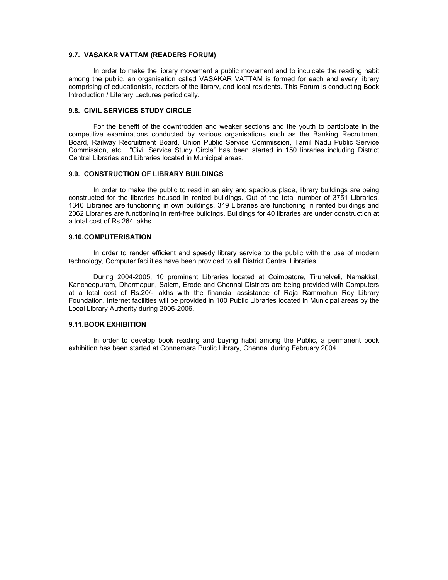#### **9.7. VASAKAR VATTAM (READERS FORUM)**

 In order to make the library movement a public movement and to inculcate the reading habit among the public, an organisation called VASAKAR VATTAM is formed for each and every library comprising of educationists, readers of the library, and local residents. This Forum is conducting Book Introduction / Literary Lectures periodically.

## **9.8. CIVIL SERVICES STUDY CIRCLE**

 For the benefit of the downtrodden and weaker sections and the youth to participate in the competitive examinations conducted by various organisations such as the Banking Recruitment Board, Railway Recruitment Board, Union Public Service Commission, Tamil Nadu Public Service Commission, etc. "Civil Service Study Circle" has been started in 150 libraries including District Central Libraries and Libraries located in Municipal areas.

### **9.9. CONSTRUCTION OF LIBRARY BUILDINGS**

 In order to make the public to read in an airy and spacious place, library buildings are being constructed for the libraries housed in rented buildings. Out of the total number of 3751 Libraries, 1340 Libraries are functioning in own buildings, 349 Libraries are functioning in rented buildings and 2062 Libraries are functioning in rent-free buildings. Buildings for 40 libraries are under construction at a total cost of Rs.264 lakhs.

#### **9.10. COMPUTERISATION**

In order to render efficient and speedy library service to the public with the use of modern technology, Computer facilities have been provided to all District Central Libraries.

 During 2004-2005, 10 prominent Libraries located at Coimbatore, Tirunelveli, Namakkal, Kancheepuram, Dharmapuri, Salem, Erode and Chennai Districts are being provided with Computers at a total cost of Rs.20/- lakhs with the financial assistance of Raja Rammohun Roy Library Foundation. Internet facilities will be provided in 100 Public Libraries located in Municipal areas by the Local Library Authority during 2005-2006.

## **9.11. BOOK EXHIBITION**

 In order to develop book reading and buying habit among the Public, a permanent book exhibition has been started at Connemara Public Library, Chennai during February 2004.